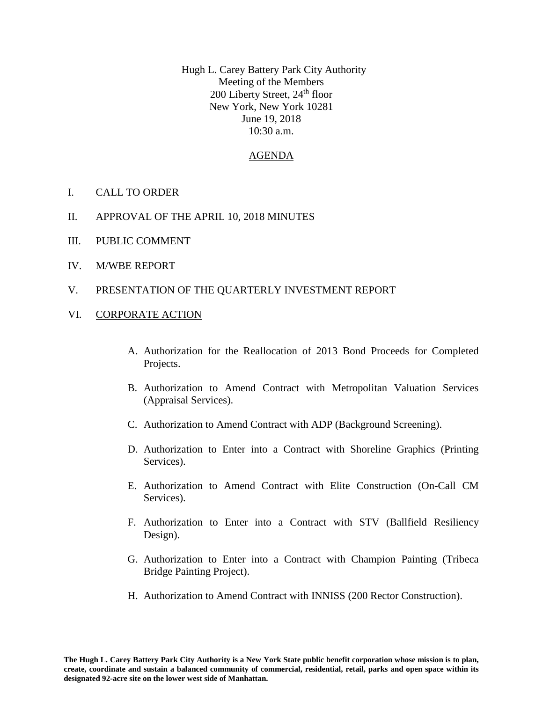Hugh L. Carey Battery Park City Authority Meeting of the Members 200 Liberty Street, 24<sup>th</sup> floor New York, New York 10281 June 19, 2018 10:30 a.m.

## AGENDA

- I. CALL TO ORDER
- II. APPROVAL OF THE APRIL 10, 2018 MINUTES
- III. PUBLIC COMMENT
- IV. M/WBE REPORT
- V. PRESENTATION OF THE QUARTERLY INVESTMENT REPORT

## VI. CORPORATE ACTION

- A. Authorization for the Reallocation of 2013 Bond Proceeds for Completed Projects.
- B. Authorization to Amend Contract with Metropolitan Valuation Services (Appraisal Services).
- C. Authorization to Amend Contract with ADP (Background Screening).
- D. Authorization to Enter into a Contract with Shoreline Graphics (Printing Services).
- E. Authorization to Amend Contract with Elite Construction (On-Call CM Services).
- F. Authorization to Enter into a Contract with STV (Ballfield Resiliency Design).
- G. Authorization to Enter into a Contract with Champion Painting (Tribeca Bridge Painting Project).
- H. Authorization to Amend Contract with INNISS (200 Rector Construction).